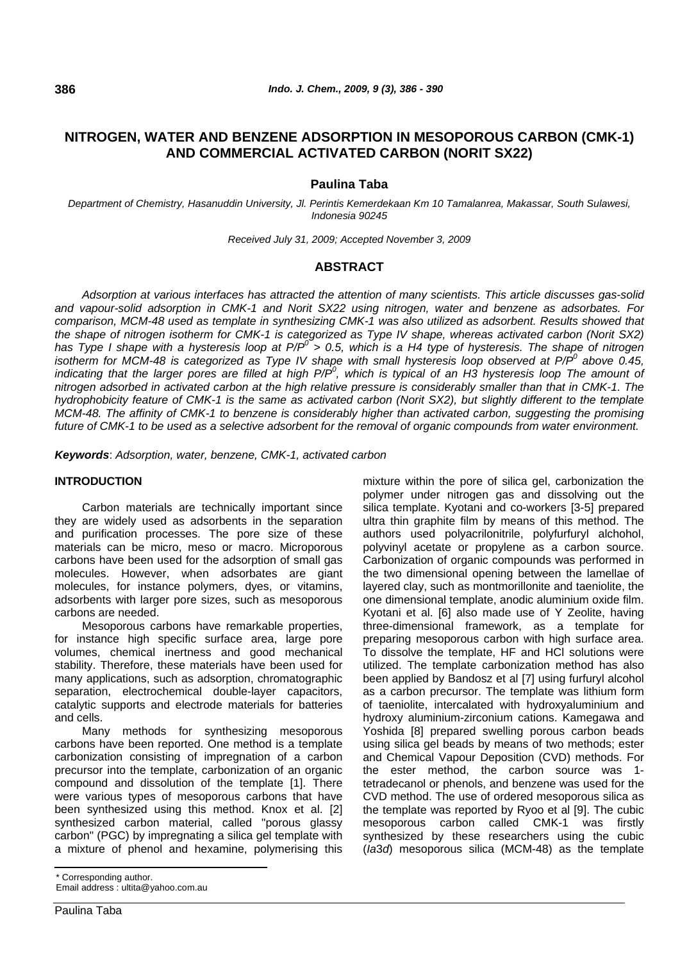# **NITROGEN, WATER AND BENZENE ADSORPTION IN MESOPOROUS CARBON (CMK-1) AND COMMERCIAL ACTIVATED CARBON (NORIT SX22)**

## **Paulina Taba**

*Department of Chemistry, Hasanuddin University, Jl. Perintis Kemerdekaan Km 10 Tamalanrea, Makassar, South Sulawesi, Indonesia 90245* 

*Received July 31, 2009; Accepted November 3, 2009* 

# **ABSTRACT**

*Adsorption at various interfaces has attracted the attention of many scientists. This article discusses gas-solid and vapour-solid adsorption in CMK-1 and Norit SX22 using nitrogen, water and benzene as adsorbates. For comparison, MCM-48 used as template in synthesizing CMK-1 was also utilized as adsorbent. Results showed that the shape of nitrogen isotherm for CMK-1 is categorized as Type IV shape, whereas activated carbon (Norit SX2)*  has Type I shape with a hysteresis loop at P/P<sup>o</sup> > 0.5, which is a H4 type of hysteresis. The shape of nitrogen *isotherm for MCM-48 is categorized as Type IV shape with small hysteresis loop observed at P/P<sup>o</sup> above 0.45,* indicating that the larger pores are filled at high P/P<sup>o</sup>, which is typical of an H3 hysteresis loop The amount of *nitrogen adsorbed in activated carbon at the high relative pressure is considerably smaller than that in CMK-1. The hydrophobicity feature of CMK-1 is the same as activated carbon (Norit SX2), but slightly different to the template MCM-48. The affinity of CMK-1 to benzene is considerably higher than activated carbon, suggesting the promising future of CMK-1 to be used as a selective adsorbent for the removal of organic compounds from water environment.* 

*Keywords*: *Adsorption, water, benzene, CMK-1, activated carbon*

# **INTRODUCTION**

Carbon materials are technically important since they are widely used as adsorbents in the separation and purification processes. The pore size of these materials can be micro, meso or macro. Microporous carbons have been used for the adsorption of small gas molecules. However, when adsorbates are giant molecules, for instance polymers, dyes, or vitamins, adsorbents with larger pore sizes, such as mesoporous carbons are needed.

Mesoporous carbons have remarkable properties, for instance high specific surface area, large pore volumes, chemical inertness and good mechanical stability. Therefore, these materials have been used for many applications, such as adsorption, chromatographic separation, electrochemical double-layer capacitors, catalytic supports and electrode materials for batteries and cells.

Many methods for synthesizing mesoporous carbons have been reported. One method is a template carbonization consisting of impregnation of a carbon precursor into the template, carbonization of an organic compound and dissolution of the template [1]. There were various types of mesoporous carbons that have been synthesized using this method. Knox et al. [2] synthesized carbon material, called "porous glassy carbon" (PGC) by impregnating a silica gel template with a mixture of phenol and hexamine, polymerising this

\* Corresponding author.

Email address : [ultita@yahoo.com.au](mailto:ultita@yahoo.com.au) 

Paulina Taba

mixture within the pore of silica gel, carbonization the polymer under nitrogen gas and dissolving out the silica template. Kyotani and co-workers [3-5] prepared ultra thin graphite film by means of this method. The authors used polyacrilonitrile, polyfurfuryl alchohol, polyvinyl acetate or propylene as a carbon source. Carbonization of organic compounds was performed in the two dimensional opening between the lamellae of layered clay, such as montmorillonite and taeniolite, the one dimensional template, anodic aluminium oxide film. Kyotani et al. [6] also made use of Y Zeolite, having three-dimensional framework, as a template for preparing mesoporous carbon with high surface area. To dissolve the template, HF and HCl solutions were utilized. The template carbonization method has also been applied by Bandosz et al [7] using furfuryl alcohol as a carbon precursor. The template was lithium form of taeniolite, intercalated with hydroxyaluminium and hydroxy aluminium-zirconium cations. Kamegawa and Yoshida [8] prepared swelling porous carbon beads using silica gel beads by means of two methods; ester and Chemical Vapour Deposition (CVD) methods. For the ester method, the carbon source was 1 tetradecanol or phenols, and benzene was used for the CVD method. The use of ordered mesoporous silica as the template was reported by Ryoo et al [9]. The cubic mesoporous carbon called CMK-1 was firstly synthesized by these researchers using the cubic (*Ia*3*d*) mesoporous silica (MCM-48) as the template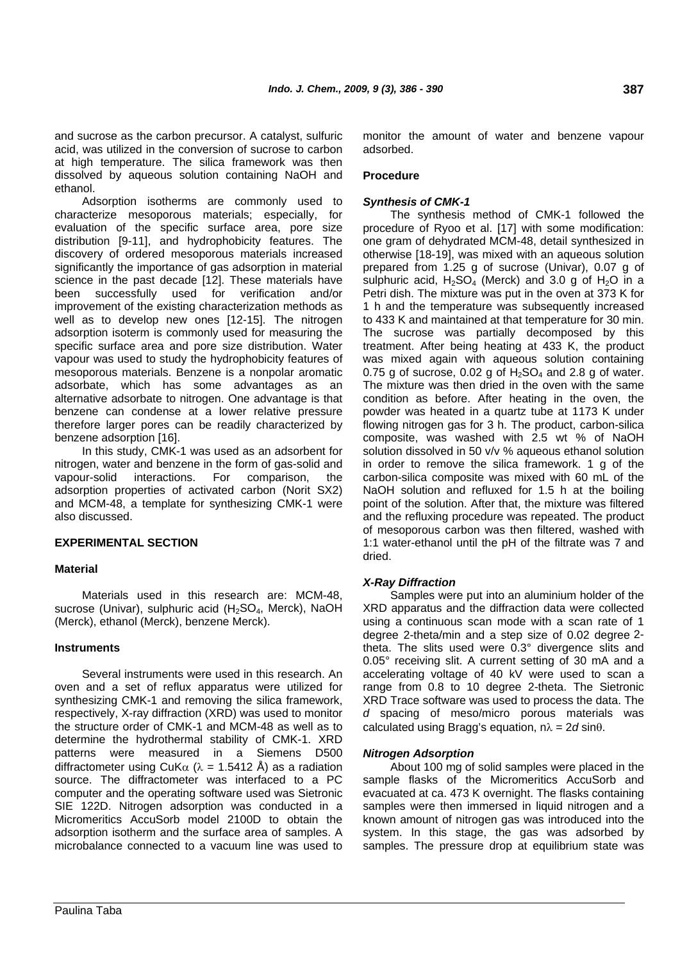and sucrose as the carbon precursor. A catalyst, sulfuric acid, was utilized in the conversion of sucrose to carbon at high temperature. The silica framework was then dissolved by aqueous solution containing NaOH and ethanol.

Adsorption isotherms are commonly used to characterize mesoporous materials; especially, for evaluation of the specific surface area, pore size distribution [9-11], and hydrophobicity features. The discovery of ordered mesoporous materials increased significantly the importance of gas adsorption in material science in the past decade [12]. These materials have been successfully used for verification and/or improvement of the existing characterization methods as well as to develop new ones [12-15]. The nitrogen adsorption isoterm is commonly used for measuring the specific surface area and pore size distribution. Water vapour was used to study the hydrophobicity features of mesoporous materials. Benzene is a nonpolar aromatic adsorbate, which has some advantages as an alternative adsorbate to nitrogen. One advantage is that benzene can condense at a lower relative pressure therefore larger pores can be readily characterized by benzene adsorption [16].

In this study, CMK-1 was used as an adsorbent for nitrogen, water and benzene in the form of gas-solid and vapour-solid interactions. For comparison, the adsorption properties of activated carbon (Norit SX2) and MCM-48, a template for synthesizing CMK-1 were also discussed.

# **EXPERIMENTAL SECTION**

#### **Material**

Materials used in this research are: MCM-48, sucrose (Univar), sulphuric acid (H<sub>2</sub>SO<sub>4</sub>, Merck), NaOH (Merck), ethanol (Merck), benzene Merck).

#### **Instruments**

Several instruments were used in this research. An oven and a set of reflux apparatus were utilized for synthesizing CMK-1 and removing the silica framework, respectively, X-ray diffraction (XRD) was used to monitor the structure order of CMK-1 and MCM-48 as well as to determine the hydrothermal stability of CMK-1. XRD patterns were measured in a Siemens D500 diffractometer using CuK $\alpha$  ( $\lambda$  = 1.5412 Å) as a radiation source. The diffractometer was interfaced to a PC computer and the operating software used was Sietronic SIE 122D. Nitrogen adsorption was conducted in a Micromeritics AccuSorb model 2100D to obtain the adsorption isotherm and the surface area of samples. A microbalance connected to a vacuum line was used to

monitor the amount of water and benzene vapour adsorbed.

#### **Procedure**

#### *Synthesis of CMK-1*

The synthesis method of CMK-1 followed the procedure of Ryoo et al. [17] with some modification: one gram of dehydrated MCM-48, detail synthesized in otherwise [18-19], was mixed with an aqueous solution prepared from 1.25 g of sucrose (Univar), 0.07 g of sulphuric acid,  $H_2SO_4$  (Merck) and 3.0 g of  $H_2O$  in a Petri dish. The mixture was put in the oven at 373 K for 1 h and the temperature was subsequently increased to 433 K and maintained at that temperature for 30 min. The sucrose was partially decomposed by this treatment. After being heating at 433 K, the product was mixed again with aqueous solution containing 0.75 g of sucrose, 0.02 g of  $H<sub>2</sub>SO<sub>4</sub>$  and 2.8 g of water. The mixture was then dried in the oven with the same condition as before. After heating in the oven, the powder was heated in a quartz tube at 1173 K under flowing nitrogen gas for 3 h. The product, carbon-silica composite, was washed with 2.5 wt % of NaOH solution dissolved in 50 v/v % aqueous ethanol solution in order to remove the silica framework. 1 g of the carbon-silica composite was mixed with 60 mL of the NaOH solution and refluxed for 1.5 h at the boiling point of the solution. After that, the mixture was filtered and the refluxing procedure was repeated. The product of mesoporous carbon was then filtered, washed with 1:1 water-ethanol until the pH of the filtrate was 7 and dried.

#### *X-Ray Diffraction*

Samples were put into an aluminium holder of the XRD apparatus and the diffraction data were collected using a continuous scan mode with a scan rate of 1 degree 2-theta/min and a step size of 0.02 degree 2 theta. The slits used were 0.3° divergence slits and 0.05° receiving slit. A current setting of 30 mA and a accelerating voltage of 40 kV were used to scan a range from 0.8 to 10 degree 2-theta. The Sietronic XRD Trace software was used to process the data. The *d* spacing of meso/micro porous materials was calculated using Bragg's equation, nλ = 2*d* sinθ.

#### *Nitrogen Adsorption*

About 100 mg of solid samples were placed in the sample flasks of the Micromeritics AccuSorb and evacuated at ca. 473 K overnight. The flasks containing samples were then immersed in liquid nitrogen and a known amount of nitrogen gas was introduced into the system. In this stage, the gas was adsorbed by samples. The pressure drop at equilibrium state was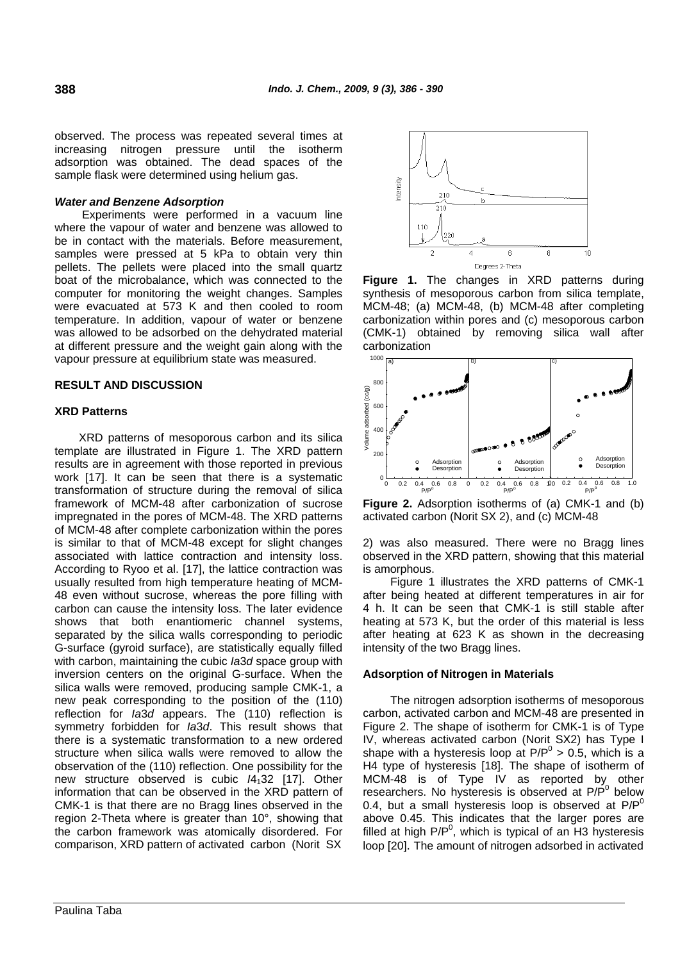observed. The process was repeated several times at increasing nitrogen pressure until the isotherm adsorption was obtained. The dead spaces of the sample flask were determined using helium gas.

## *Water and Benzene Adsorption*

Experiments were performed in a vacuum line where the vapour of water and benzene was allowed to be in contact with the materials. Before measurement, samples were pressed at 5 kPa to obtain very thin pellets. The pellets were placed into the small quartz boat of the microbalance, which was connected to the computer for monitoring the weight changes. Samples were evacuated at 573 K and then cooled to room temperature. In addition, vapour of water or benzene was allowed to be adsorbed on the dehydrated material at different pressure and the weight gain along with the vapour pressure at equilibrium state was measured.

#### **RESULT AND DISCUSSION**

#### **XRD Patterns**

XRD patterns of mesoporous carbon and its silica template are illustrated in Figure 1. The XRD pattern results are in agreement with those reported in previous work [17]. It can be seen that there is a systematic transformation of structure during the removal of silica framework of MCM-48 after carbonization of sucrose impregnated in the pores of MCM-48. The XRD patterns of MCM-48 after complete carbonization within the pores is similar to that of MCM-48 except for slight changes associated with lattice contraction and intensity loss. According to Ryoo et al. [17], the lattice contraction was usually resulted from high temperature heating of MCM-48 even without sucrose, whereas the pore filling with carbon can cause the intensity loss. The later evidence shows that both enantiomeric channel systems, separated by the silica walls corresponding to periodic G-surface (gyroid surface), are statistically equally filled with carbon, maintaining the cubic *Ia*3*d* space group with inversion centers on the original G-surface. When the silica walls were removed, producing sample CMK-1, a new peak corresponding to the position of the (110) reflection for *Ia*3*d* appears. The (110) reflection is symmetry forbidden for *Ia*3*d*. This result shows that there is a systematic transformation to a new ordered structure when silica walls were removed to allow the observation of the (110) reflection. One possibility for the new structure observed is cubic *I*4132 [17]. Other information that can be observed in the XRD pattern of CMK-1 is that there are no Bragg lines observed in the region 2-Theta where is greater than 10°, showing that the carbon framework was atomically disordered. For comparison, XRD pattern of activated carbon (Norit SX



**Figure 1.** The changes in XRD patterns during synthesis of mesoporous carbon from silica template, MCM-48; (a) MCM-48, (b) MCM-48 after completing carbonization within pores and (c) mesoporous carbon (CMK-1) obtained by removing silica wall after carbonization



**Figure 2.** Adsorption isotherms of (a) CMK-1 and (b) activated carbon (Norit SX 2), and (c) MCM-48

2) was also measured. There were no Bragg lines observed in the XRD pattern, showing that this material is amorphous.

Figure 1 illustrates the XRD patterns of CMK-1 after being heated at different temperatures in air for 4 h. It can be seen that CMK-1 is still stable after heating at 573 K, but the order of this material is less after heating at 623 K as shown in the decreasing intensity of the two Bragg lines.

#### **Adsorption of Nitrogen in Materials**

The nitrogen adsorption isotherms of mesoporous carbon, activated carbon and MCM-48 are presented in Figure 2. The shape of isotherm for CMK-1 is of Type IV, whereas activated carbon (Norit SX2) has Type I shape with a hysteresis loop at  $P/P^0 > 0.5$ , which is a H4 type of hysteresis [18]. The shape of isotherm of MCM-48 is of Type IV as reported by other researchers. No hysteresis is observed at  $P/P^0$  below 0.4, but a small hysteresis loop is observed at  $P/P^0$ above 0.45. This indicates that the larger pores are filled at high  $P/P<sup>0</sup>$ , which is typical of an  $H3$  hysteresis loop [20]. The amount of nitrogen adsorbed in activated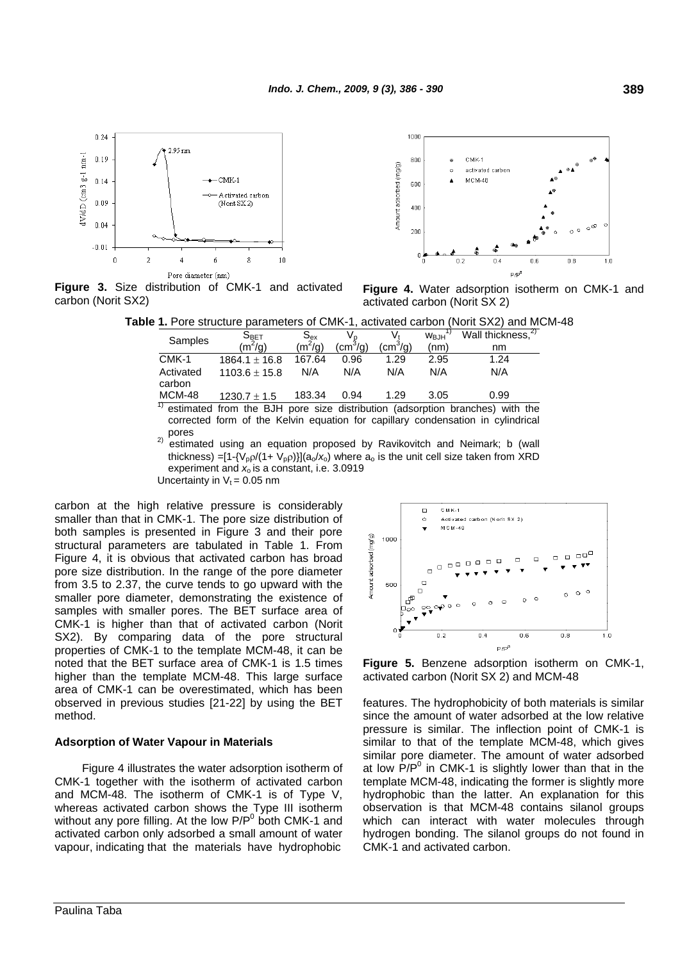

 $1000$ and  $CMK-1$ Amount adsorbed (mg/g) activated carbo MCM-48 60C  $400$  $20<sup>c</sup>$  $\overline{0}$ ០ ន n a  $1<sub>n</sub>$ p /pl

**Figure 3.** Size distribution of CMK-1 and activated carbon (Norit SX2)

**Figure 4.** Water adsorption isotherm on CMK-1 and activated carbon (Norit SX 2)

**Table 1.** Pore structure parameters of CMK-1, activated carbon (Norit SX2) and MCM-48

| THE OTO OURCIDE PRIMITION OF OTHER T, ACTIVATOR CALCOT (HOTEL OAL) AND |                    |           |                |                |                   |                                                                                            |
|------------------------------------------------------------------------|--------------------|-----------|----------------|----------------|-------------------|--------------------------------------------------------------------------------------------|
| Samples                                                                | $S_{\mathsf{BET}}$ | $S_{ex}$  | V <sub>p</sub> |                | W <sub>B.IH</sub> | Wall thickness. <sup>27</sup>                                                              |
|                                                                        | $(m^2/q)$          | $(m^2/q)$ | $\rm (cm^3/g)$ | $\rm (cm^3/g)$ | (nm)              | nm                                                                                         |
| CMK-1                                                                  | $1864.1 \pm 16.8$  | 167.64    | 0.96           | 1.29           | 2.95              | 1.24                                                                                       |
| Activated<br>carbon                                                    | $1103.6 \pm 15.8$  | N/A       | N/A            | N/A            | N/A               | N/A                                                                                        |
| <b>MCM-48</b>                                                          | $1230.7 \pm 1.5$   | 183.34    | 0.94           | 1.29           | 3.05              | 0.99                                                                                       |
|                                                                        |                    |           |                |                |                   | <sup>1)</sup> estimated from the BJH pore size distribution (adsorption branches) with the |

corrected form of the Kelvin equation for capillary condensation in cylindrical

 $P<sup>2)</sup>$  estimated using an equation proposed by Ravikovitch and Neimark; b (wall thickness) =[1-{V<sub>p</sub> $\rho$ /(1+ V<sub>p</sub> $\rho$ )}](a<sub>o</sub>/x<sub>o</sub>) where a<sub>o</sub> is the unit cell size taken from XRD experiment and *x*o is a constant, i.e. 3.0919 Uncertainty in  $V_t = 0.05$  nm

carbon at the high relative pressure is considerably smaller than that in CMK-1. The pore size distribution of both samples is presented in Figure 3 and their pore structural parameters are tabulated in Table 1. From Figure 4, it is obvious that activated carbon has broad pore size distribution. In the range of the pore diameter from 3.5 to 2.37, the curve tends to go upward with the smaller pore diameter, demonstrating the existence of samples with smaller pores. The BET surface area of CMK-1 is higher than that of activated carbon (Norit SX2). By comparing data of the pore structural properties of CMK-1 to the template MCM-48, it can be noted that the BET surface area of CMK-1 is 1.5 times higher than the template MCM-48. This large surface area of CMK-1 can be overestimated, which has been observed in previous studies [21-22] by using the BET method.

#### **Adsorption of Water Vapour in Materials**

Figure 4 illustrates the water adsorption isotherm of CMK-1 together with the isotherm of activated carbon and MCM-48. The isotherm of CMK-1 is of Type V, whereas activated carbon shows the Type III isotherm without any pore filling. At the low  $P/P<sup>0</sup>$  both CMK-1 and activated carbon only adsorbed a small amount of water vapour, indicating that the materials have hydrophobic



**Figure 5.** Benzene adsorption isotherm on CMK-1, activated carbon (Norit SX 2) and MCM-48

features. The hydrophobicity of both materials is similar since the amount of water adsorbed at the low relative pressure is similar. The inflection point of CMK-1 is similar to that of the template MCM-48, which gives similar pore diameter. The amount of water adsorbed at low  $P/P<sup>0</sup>$  in CMK-1 is slightly lower than that in the template MCM-48, indicating the former is slightly more hydrophobic than the latter. An explanation for this observation is that MCM-48 contains silanol groups which can interact with water molecules through hydrogen bonding. The silanol groups do not found in CMK-1 and activated carbon.